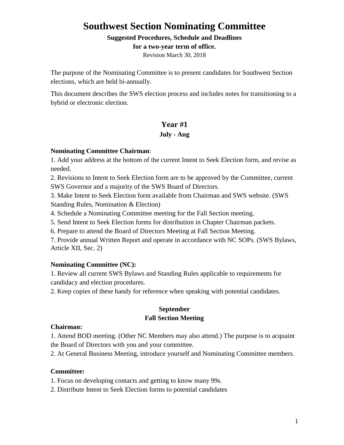# **Southwest Section Nominating Committee**

#### **Suggested Procedures, Schedule and Deadlines**

**for a two-year term of office.**

Revision March 30, 2018

The purpose of the Nominating Committee is to present candidates for Southwest Section elections, which are held bi-annually.

This document describes the SWS election process and includes notes for transitioning to a hybrid or electronic election.

# **Year #1**

# **July - Aug**

# **Nominating Committee Chairman**:

1. Add your address at the bottom of the current Intent to Seek Election form, and revise as needed.

2. Revisions to Intent to Seek Election form are to be approved by the Committee, current SWS Governor and a majority of the SWS Board of Directors.

3. Make Intent to Seek Election form available from Chairman and SWS website. (SWS Standing Rules, Nomination & Election)

4. Schedule a Nominating Committee meeting for the Fall Section meeting.

5. Send Intent to Seek Election forms for distribution in Chapter Chairman packets.

6. Prepare to attend the Board of Directors Meeting at Fall Section Meeting.

7. Provide annual Written Report and operate in accordance with NC SOPs. (SWS Bylaws, Article XII, Sec. 2)

# **Nominating Committee (NC):**

1. Review all current SWS Bylaws and Standing Rules applicable to requirements for candidacy and election procedures.

2. Keep copies of these handy for reference when speaking with potential candidates.

# **September Fall Section Meeting**

# **Chairman:**

1. Attend BOD meeting. (Other NC Members may also attend.) The purpose is to acquaint the Board of Directors with you and your committee.

2. At General Business Meeting, introduce yourself and Nominating Committee members.

# **Committee:**

1. Focus on developing contacts and getting to know many 99s.

2. Distribute Intent to Seek Election forms to potential candidates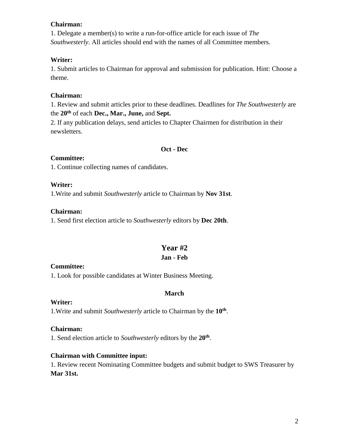### **Chairman:**

1. Delegate a member(s) to write a run-for-office article for each issue of *The Southwesterly*. All articles should end with the names of all Committee members.

### **Writer:**

1. Submit articles to Chairman for approval and submission for publication. Hint: Choose a theme.

### **Chairman:**

1. Review and submit articles prior to these deadlines. Deadlines for *The Southwesterly* are the **20th** of each **Dec., Mar., June,** and **Sept.**

2. If any publication delays, send articles to Chapter Chairmen for distribution in their newsletters.

#### **Oct - Dec**

#### **Committee:**

1. Continue collecting names of candidates.

# **Writer:**

1.Write and submit *Southwesterly* article to Chairman by **Nov 31st**.

#### **Chairman:**

1. Send first election article to *Southwesterly* editors by **Dec 20th**.

# **Year #2**

# **Jan - Feb**

#### **Committee:**

1. Look for possible candidates at Winter Business Meeting.

# **March**

#### **Writer:**

1.Write and submit *Southwesterly* article to Chairman by the **10th** .

# **Chairman:**

1. Send election article to *Southwesterly* editors by the **20th** .

# **Chairman with Committee input:**

1. Review recent Nominating Committee budgets and submit budget to SWS Treasurer by **Mar 31st.**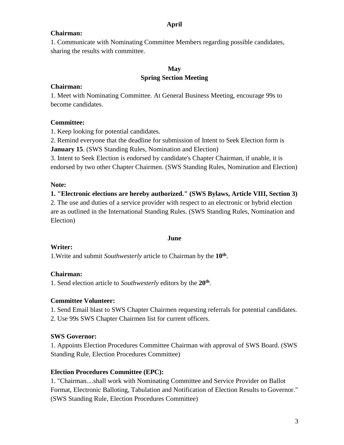# **April**

### **Chairman:**

1. Communicate with Nominating Committee Members regarding possible candidates, sharing the results with committee.

# **May Spring Section Meeting**

#### **Chairman:**

1. Meet with Nominating Committee. At General Business Meeting, encourage 99s to become candidates.

# **Committee:**

1. Keep looking for potential candidates.

2. Remind everyone that the deadline for submission of Intent to Seek Election form is **January 15.** (SWS Standing Rules, Nomination and Election)

3. Intent to Seek Election is endorsed by candidate's Chapter Chairman, if unable, it is endorsed by two other Chapter Chairmen. (SWS Standing Rules, Nomination and Election)

# **Note:**

#### **1. "Electronic elections are hereby authorized." (SWS Bylaws, Article VIII, Section 3)**

2. The use and duties of a service provider with respect to an electronic or hybrid election are as outlined in the International Standing Rules. (SWS Standing Rules, Nomination and Election)

#### **June**

# **Writer:**

1.Write and submit *Southwesterly* article to Chairman by the **10th** .

# **Chairman:**

1. Send election article to *Southwesterly* editors by the **20th** .

# **Committee Volunteer:**

1. Send Email blast to SWS Chapter Chairmen requesting referrals for potential candidates.

2. Use 99s SWS Chapter Chairmen list for current officers.

# **SWS Governor:**

1. Appoints Election Procedures Committee Chairman with approval of SWS Board. (SWS Standing Rule, Election Procedures Committee)

# **Election Procedures Committee (EPC):**

1. "Chairman....shall work with Nominating Committee and Service Provider on Ballot Format, Electronic Balloting, Tabulation and Notification of Election Results to Governor." (SWS Standing Rule, Election Procedures Committee)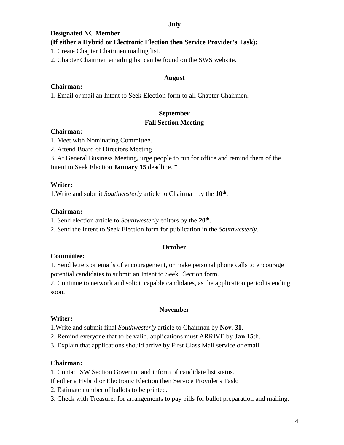#### **July**

#### **Designated NC Member**

### **(If either a Hybrid or Electronic Election then Service Provider's Task):**

1. Create Chapter Chairmen mailing list.

2. Chapter Chairmen emailing list can be found on the SWS website.

#### **August**

#### **Chairman:**

1. Email or mail an Intent to Seek Election form to all Chapter Chairmen.

# **September Fall Section Meeting**

#### **Chairman:**

- 1. Meet with Nominating Committee.
- 2. Attend Board of Directors Meeting

3. At General Business Meeting, urge people to run for office and remind them of the Intent to Seek Election **January 15** deadline.''''

#### **Writer:**

1.Write and submit *Southwesterly* article to Chairman by the **10th** .

#### **Chairman:**

1. Send election article to *Southwesterly* editors by the **20th** .

2. Send the Intent to Seek Election form for publication in the *Southwesterly.*

# **October**

#### **Committee:**

1. Send letters or emails of encouragement, or make personal phone calls to encourage potential candidates to submit an Intent to Seek Election form.

2. Continue to network and solicit capable candidates, as the application period is ending soon.

#### **November**

#### **Writer:**

1.Write and submit final *Southwesterly* article to Chairman by **Nov. 31**.

2. Remind everyone that to be valid, applications must ARRIVE by **Jan 15**th.

3. Explain that applications should arrive by First Class Mail service or email.

# **Chairman:**

1. Contact SW Section Governor and inform of candidate list status.

If either a Hybrid or Electronic Election then Service Provider's Task:

- 2. Estimate number of ballots to be printed.
- 3. Check with Treasurer for arrangements to pay bills for ballot preparation and mailing.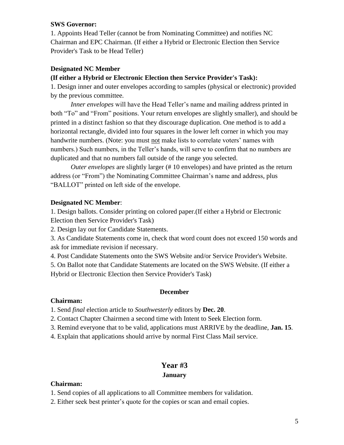### **SWS Governor:**

1. Appoints Head Teller (cannot be from Nominating Committee) and notifies NC Chairman and EPC Chairman. (If either a Hybrid or Electronic Election then Service Provider's Task to be Head Teller)

### **Designated NC Member**

#### **(If either a Hybrid or Electronic Election then Service Provider's Task):**

1. Design inner and outer envelopes according to samples (physical or electronic) provided by the previous committee.

*Inner envelopes* will have the Head Teller's name and mailing address printed in both "To" and "From" positions. Your return envelopes are slightly smaller), and should be printed in a distinct fashion so that they discourage duplication. One method is to add a horizontal rectangle, divided into four squares in the lower left corner in which you may handwrite numbers. (Note: you must not make lists to correlate voters' names with numbers.) Such numbers, in the Teller's hands, will serve to confirm that no numbers are duplicated and that no numbers fall outside of the range you selected.

*Outer envelopes* are slightly larger (# 10 envelopes) and have printed as the return address (or "From") the Nominating Committee Chairman's name and address, plus "BALLOT" printed on left side of the envelope.

#### **Designated NC Member**:

1. Design ballots. Consider printing on colored paper.(If either a Hybrid or Electronic Election then Service Provider's Task)

2. Design lay out for Candidate Statements.

3. As Candidate Statements come in, check that word count does not exceed 150 words and ask for immediate revision if necessary.

4. Post Candidate Statements onto the SWS Website and/or Service Provider's Website.

5. On Ballot note that Candidate Statements are located on the SWS Website. (If either a Hybrid or Electronic Election then Service Provider's Task)

#### **December**

#### **Chairman:**

1. Send *final* election article to *Southwesterly* editors by **Dec. 20**.

2. Contact Chapter Chairmen a second time with Intent to Seek Election form.

3. Remind everyone that to be valid, applications must ARRIVE by the deadline, **Jan. 15**.

4. Explain that applications should arrive by normal First Class Mail service.

# **Year #3**

### **January**

#### **Chairman:**

1. Send copies of all applications to all Committee members for validation.

2. Either seek best printer's quote for the copies or scan and email copies.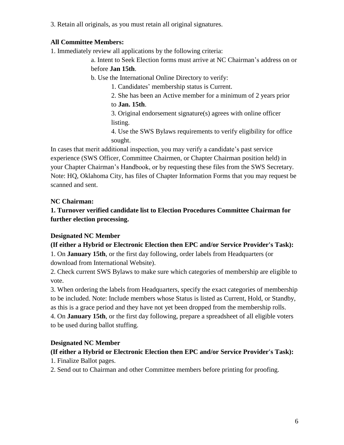3. Retain all originals, as you must retain all original signatures.

# **All Committee Members:**

1. Immediately review all applications by the following criteria:

a. Intent to Seek Election forms must arrive at NC Chairman's address on or before **Jan 15th**.

b. Use the International Online Directory to verify:

1. Candidates' membership status is Current.

2. She has been an Active member for a minimum of 2 years prior to **Jan. 15th**.

3. Original endorsement signature(s) agrees with online officer listing.

4. Use the SWS Bylaws requirements to verify eligibility for office sought.

In cases that merit additional inspection, you may verify a candidate's past service experience (SWS Officer, Committee Chairmen, or Chapter Chairman position held) in your Chapter Chairman's Handbook, or by requesting these files from the SWS Secretary. Note: HQ, Oklahoma City, has files of Chapter Information Forms that you may request be scanned and sent.

# **NC Chairman:**

**1. Turnover verified candidate list to Election Procedures Committee Chairman for further election processing.**

# **Designated NC Member**

# **(If either a Hybrid or Electronic Election then EPC and/or Service Provider's Task):**

1. On **January 15th**, or the first day following, order labels from Headquarters (or download from International Website).

2. Check current SWS Bylaws to make sure which categories of membership are eligible to vote.

3. When ordering the labels from Headquarters, specify the exact categories of membership to be included. Note: Include members whose Status is listed as Current, Hold, or Standby, as this is a grace period and they have not yet been dropped from the membership rolls.

4. On **January 15th**, or the first day following, prepare a spreadsheet of all eligible voters to be used during ballot stuffing.

# **Designated NC Member**

# **(If either a Hybrid or Electronic Election then EPC and/or Service Provider's Task):**

1. Finalize Ballot pages.

2. Send out to Chairman and other Committee members before printing for proofing.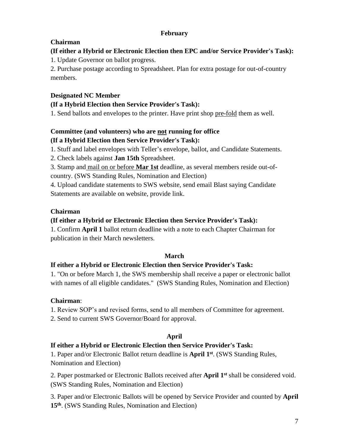# **February**

# **Chairman**

# **(If either a Hybrid or Electronic Election then EPC and/or Service Provider's Task):**

1. Update Governor on ballot progress.

2. Purchase postage according to Spreadsheet. Plan for extra postage for out-of-country members.

# **Designated NC Member**

# **(If a Hybrid Election then Service Provider's Task):**

1. Send ballots and envelopes to the printer. Have print shop pre-fold them as well.

# **Committee (and volunteers) who are not running for office (If a Hybrid Election then Service Provider's Task):**

1. Stuff and label envelopes with Teller's envelope, ballot, and Candidate Statements.

2. Check labels against **Jan 15th** Spreadsheet.

3. Stamp and mail on or before **Mar 1st** deadline, as several members reside out-ofcountry. (SWS Standing Rules, Nomination and Election)

4. Upload candidate statements to SWS website, send email Blast saying Candidate Statements are available on website, provide link.

# **Chairman**

# **(If either a Hybrid or Electronic Election then Service Provider's Task):**

1. Confirm **April 1** ballot return deadline with a note to each Chapter Chairman for publication in their March newsletters.

# **March**

# **If either a Hybrid or Electronic Election then Service Provider's Task:**

1. "On or before March 1, the SWS membership shall receive a paper or electronic ballot with names of all eligible candidates." (SWS Standing Rules, Nomination and Election)

# **Chairman**:

1. Review SOP's and revised forms, send to all members of Committee for agreement.

2. Send to current SWS Governor/Board for approval.

# **April**

# **If either a Hybrid or Electronic Election then Service Provider's Task:**

1. Paper and/or Electronic Ballot return deadline is **April 1st** . (SWS Standing Rules, Nomination and Election)

2. Paper postmarked or Electronic Ballots received after **April 1st** shall be considered void. (SWS Standing Rules, Nomination and Election)

3. Paper and/or Electronic Ballots will be opened by Service Provider and counted by **April 15th**. (SWS Standing Rules, Nomination and Election)